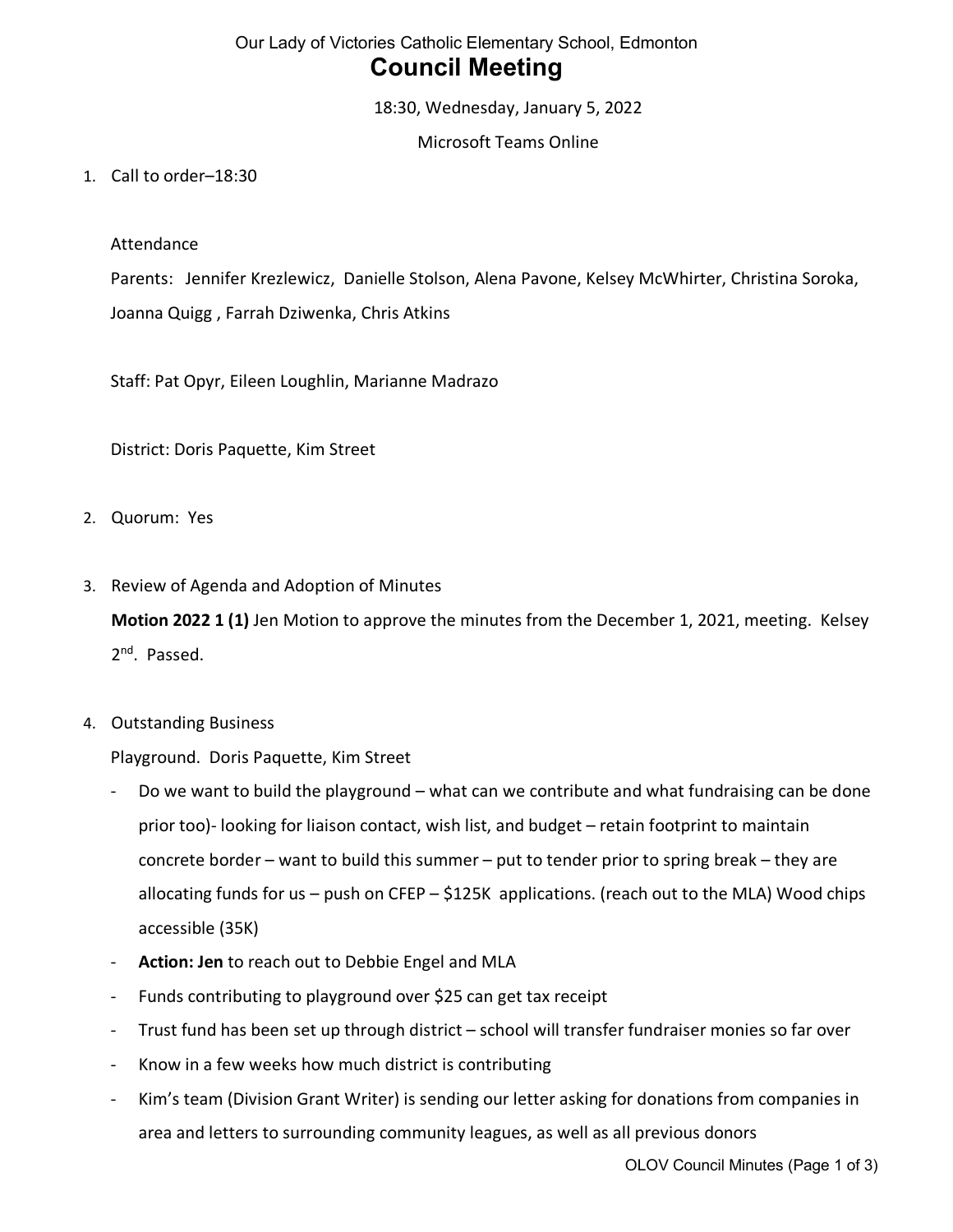# Our Lady of Victories Catholic Elementary School, Edmonton **Council Meeting**

18:30, Wednesday, January 5, 2022

Microsoft Teams Online

1. Call to order–18:30

#### Attendance

Parents: Jennifer Krezlewicz, Danielle Stolson, Alena Pavone, Kelsey McWhirter, Christina Soroka, Joanna Quigg , Farrah Dziwenka, Chris Atkins

Staff: Pat Opyr, Eileen Loughlin, Marianne Madrazo

District: Doris Paquette, Kim Street

- 2. Quorum: Yes
- 3. Review of Agenda and Adoption of Minutes

**Motion 2022 1 (1)** Jen Motion to approve the minutes from the December 1, 2021, meeting. Kelsey 2<sup>nd</sup>. Passed.

4. Outstanding Business

Playground. Doris Paquette, Kim Street

- Do we want to build the playground what can we contribute and what fundraising can be done prior too)- looking for liaison contact, wish list, and budget – retain footprint to maintain concrete border – want to build this summer – put to tender prior to spring break – they are allocating funds for us – push on CFEP – \$125K applications. (reach out to the MLA) Wood chips accessible (35K)
- Action: Jen to reach out to Debbie Engel and MLA
- Funds contributing to playground over \$25 can get tax receipt
- Trust fund has been set up through district school will transfer fundraiser monies so far over
- Know in a few weeks how much district is contributing
- Kim's team (Division Grant Writer) is sending our letter asking for donations from companies in area and letters to surrounding community leagues, as well as all previous donors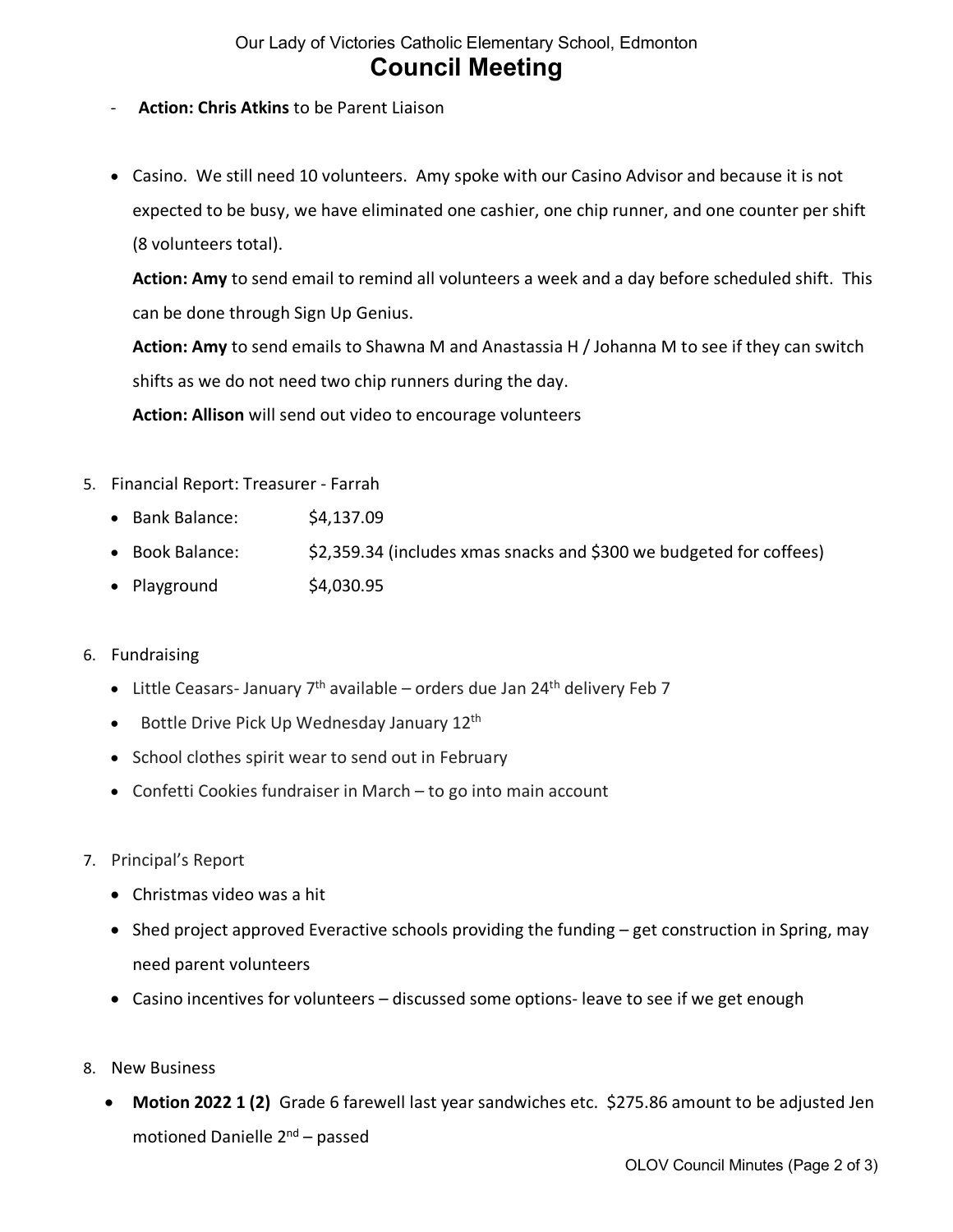### Our Lady of Victories Catholic Elementary School, Edmonton **Council Meeting**

- **Action: Chris Atkins** to be Parent Liaison
- Casino. We still need 10 volunteers. Amy spoke with our Casino Advisor and because it is not expected to be busy, we have eliminated one cashier, one chip runner, and one counter per shift (8 volunteers total).

**Action: Amy** to send email to remind all volunteers a week and a day before scheduled shift. This can be done through Sign Up Genius.

**Action: Amy** to send emails to Shawna M and Anastassia H / Johanna M to see if they can switch shifts as we do not need two chip runners during the day.

**Action: Allison** will send out video to encourage volunteers

- 5. Financial Report: Treasurer Farrah
	- Bank Balance: \$4,137.09
	- Book Balance: \$2,359.34 (includes xmas snacks and \$300 we budgeted for coffees)
	- Playground  $$4,030.95$
- 6. Fundraising
	- Little Ceasars- January  $7<sup>th</sup>$  available orders due Jan 24<sup>th</sup> delivery Feb 7
	- Bottle Drive Pick Up Wednesday January 12<sup>th</sup>
	- School clothes spirit wear to send out in February
	- Confetti Cookies fundraiser in March to go into main account
- 7. Principal's Report
	- Christmas video was a hit
	- Shed project approved Everactive schools providing the funding get construction in Spring, may need parent volunteers
	- Casino incentives for volunteers discussed some options- leave to see if we get enough
- 8. New Business
	- **Motion 2022 1 (2)** Grade 6 farewell last year sandwiches etc. \$275.86 amount to be adjusted Jen motioned Danielle 2nd – passed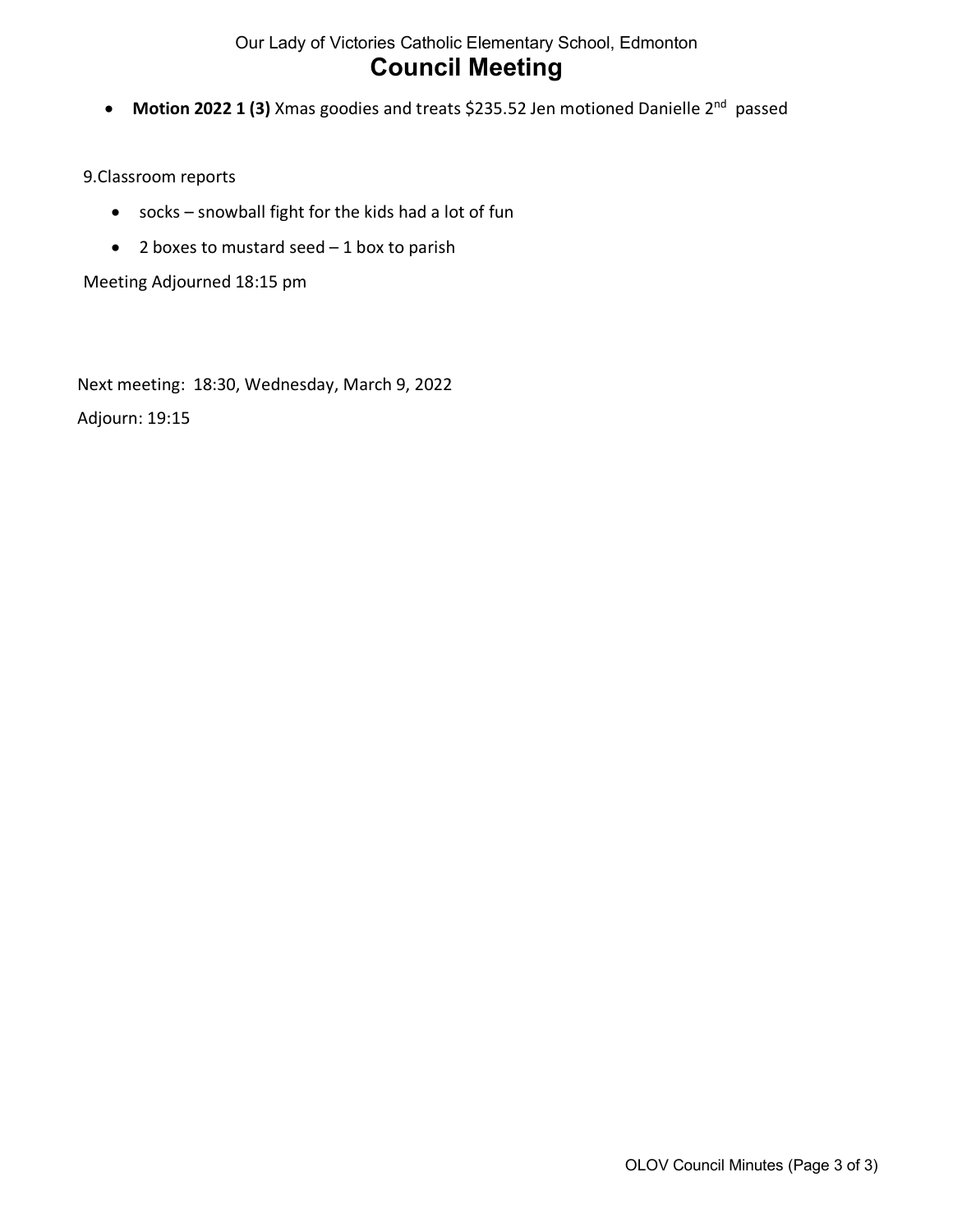### Our Lady of Victories Catholic Elementary School, Edmonton **Council Meeting**

• **Motion 2022 1 (3)** Xmas goodies and treats \$235.52 Jen motioned Danielle 2nd passed

#### 9.Classroom reports

- socks snowball fight for the kids had a lot of fun
- 2 boxes to mustard seed  $-1$  box to parish

Meeting Adjourned 18:15 pm

Next meeting: 18:30, Wednesday, March 9, 2022

Adjourn: 19:15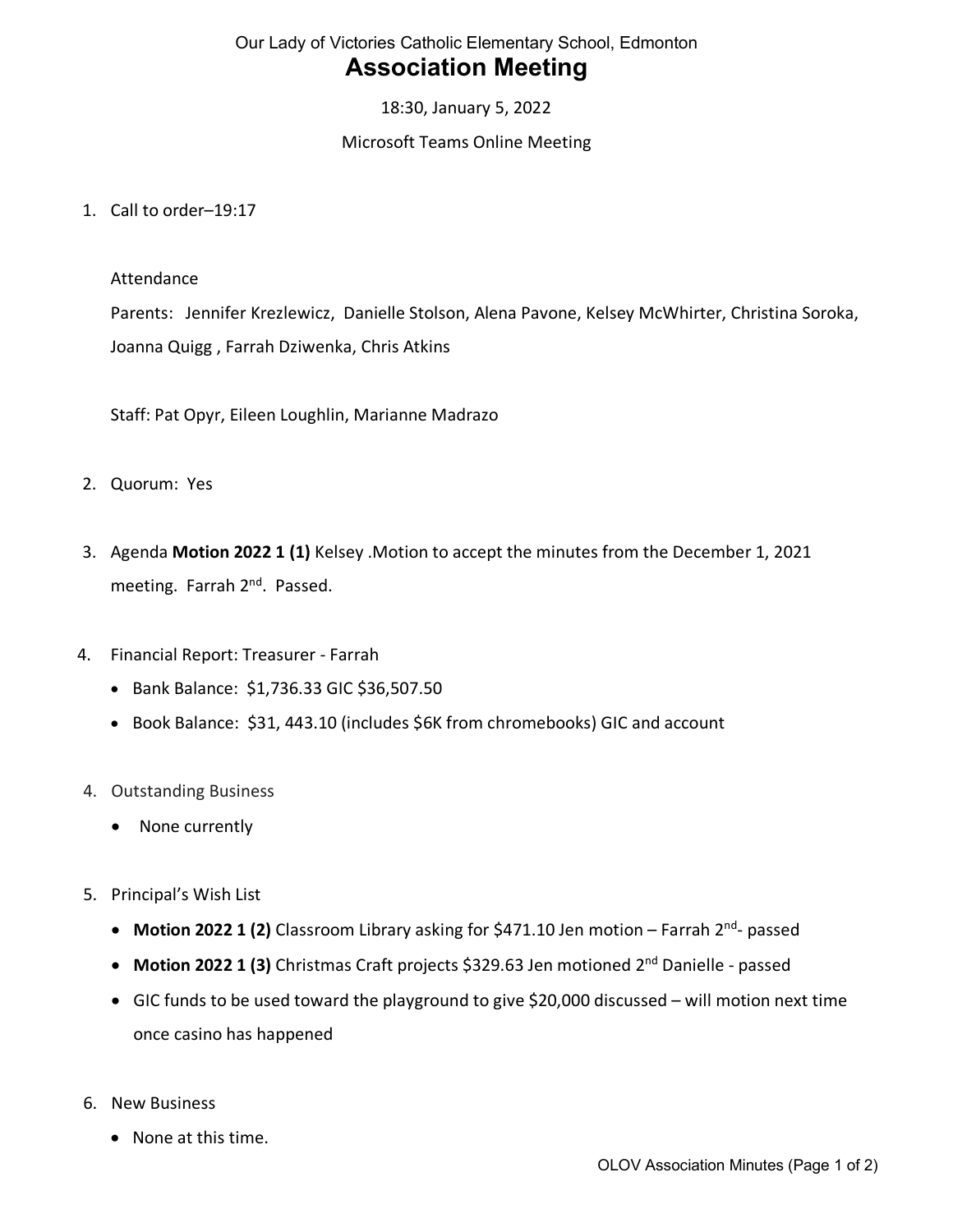## Our Lady of Victories Catholic Elementary School, Edmonton **Association Meeting**

18:30, January 5, 2022

### Microsoft Teams Online Meeting

1. Call to order–19:17

#### Attendance

Parents: Jennifer Krezlewicz, Danielle Stolson, Alena Pavone, Kelsey McWhirter, Christina Soroka, Joanna Quigg , Farrah Dziwenka, Chris Atkins

Staff: Pat Opyr, Eileen Loughlin, Marianne Madrazo

- 2. Quorum: Yes
- 3. Agenda **Motion 2022 1 (1)** Kelsey .Motion to accept the minutes from the December 1, 2021 meeting. Farrah 2<sup>nd</sup>. Passed.
- 4. Financial Report: Treasurer Farrah
	- Bank Balance: \$1,736.33 GIC \$36,507.50
	- Book Balance: \$31, 443.10 (includes \$6K from chromebooks) GIC and account
- 4. Outstanding Business
	- None currently
- 5. Principal's Wish List
	- **Motion 2022 1 (2)** Classroom Library asking for \$471.10 Jen motion Farrah 2<sup>nd</sup>- passed
	- Motion 2022 1 (3) Christmas Craft projects \$329.63 Jen motioned 2<sup>nd</sup> Danielle passed
	- GIC funds to be used toward the playground to give \$20,000 discussed will motion next time once casino has happened
- 6. New Business
	- None at this time.